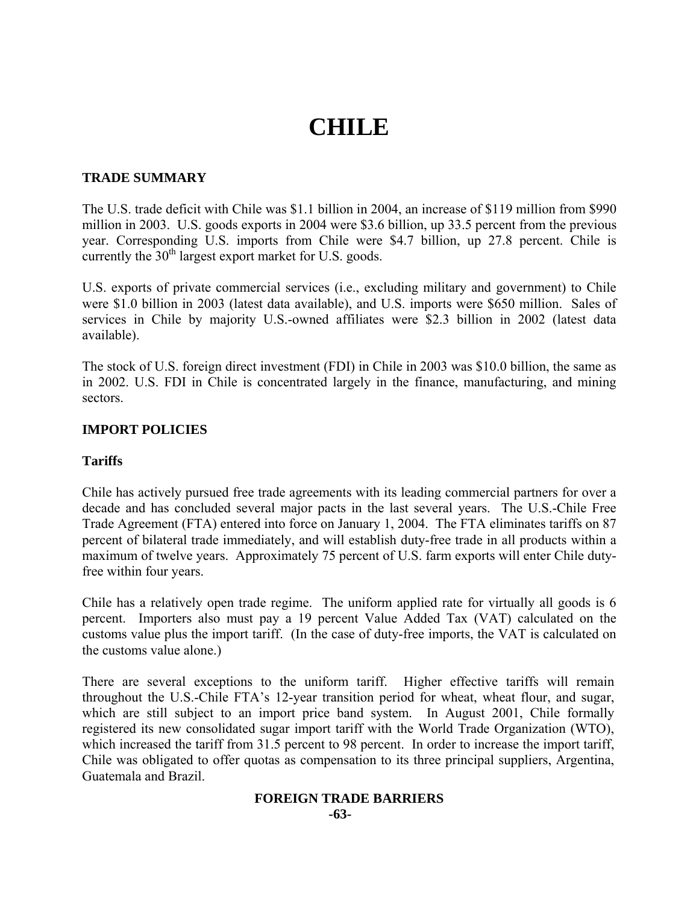# **CHILE**

## **TRADE SUMMARY**

The U.S. trade deficit with Chile was \$1.1 billion in 2004, an increase of \$119 million from \$990 million in 2003. U.S. goods exports in 2004 were \$3.6 billion, up 33.5 percent from the previous year. Corresponding U.S. imports from Chile were \$4.7 billion, up 27.8 percent. Chile is currently the  $30<sup>th</sup>$  largest export market for U.S. goods.

U.S. exports of private commercial services (i.e., excluding military and government) to Chile were \$1.0 billion in 2003 (latest data available), and U.S. imports were \$650 million. Sales of services in Chile by majority U.S.-owned affiliates were \$2.3 billion in 2002 (latest data available).

The stock of U.S. foreign direct investment (FDI) in Chile in 2003 was \$10.0 billion, the same as in 2002. U.S. FDI in Chile is concentrated largely in the finance, manufacturing, and mining sectors.

# **IMPORT POLICIES**

# **Tariffs**

Chile has actively pursued free trade agreements with its leading commercial partners for over a decade and has concluded several major pacts in the last several years. The U.S.-Chile Free Trade Agreement (FTA) entered into force on January 1, 2004. The FTA eliminates tariffs on 87 percent of bilateral trade immediately, and will establish duty-free trade in all products within a maximum of twelve years. Approximately 75 percent of U.S. farm exports will enter Chile dutyfree within four years.

Chile has a relatively open trade regime. The uniform applied rate for virtually all goods is 6 percent. Importers also must pay a 19 percent Value Added Tax (VAT) calculated on the customs value plus the import tariff. (In the case of duty-free imports, the VAT is calculated on the customs value alone.)

There are several exceptions to the uniform tariff. Higher effective tariffs will remain throughout the U.S.-Chile FTA's 12-year transition period for wheat, wheat flour, and sugar, which are still subject to an import price band system. In August 2001, Chile formally registered its new consolidated sugar import tariff with the World Trade Organization (WTO), which increased the tariff from 31.5 percent to 98 percent. In order to increase the import tariff, Chile was obligated to offer quotas as compensation to its three principal suppliers, Argentina, Guatemala and Brazil.

#### **FOREIGN TRADE BARRIERS -63-**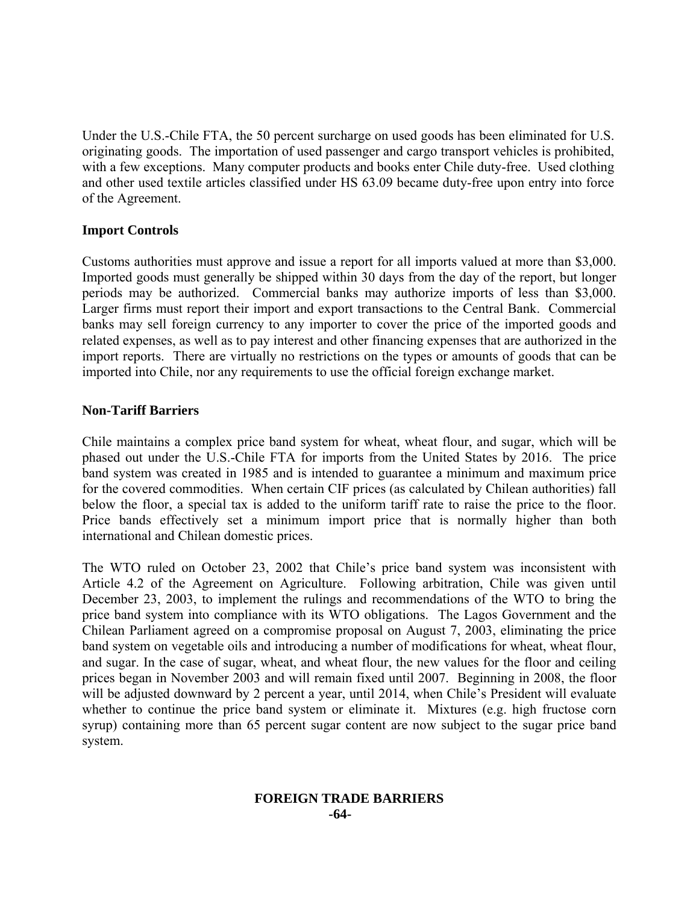Under the U.S.-Chile FTA, the 50 percent surcharge on used goods has been eliminated for U.S. originating goods. The importation of used passenger and cargo transport vehicles is prohibited, with a few exceptions. Many computer products and books enter Chile duty-free. Used clothing and other used textile articles classified under HS 63.09 became duty-free upon entry into force of the Agreement.

# **Import Controls**

Customs authorities must approve and issue a report for all imports valued at more than \$3,000. Imported goods must generally be shipped within 30 days from the day of the report, but longer periods may be authorized. Commercial banks may authorize imports of less than \$3,000. Larger firms must report their import and export transactions to the Central Bank. Commercial banks may sell foreign currency to any importer to cover the price of the imported goods and related expenses, as well as to pay interest and other financing expenses that are authorized in the import reports. There are virtually no restrictions on the types or amounts of goods that can be imported into Chile, nor any requirements to use the official foreign exchange market.

#### **Non-Tariff Barriers**

Chile maintains a complex price band system for wheat, wheat flour, and sugar, which will be phased out under the U.S.-Chile FTA for imports from the United States by 2016. The price band system was created in 1985 and is intended to guarantee a minimum and maximum price for the covered commodities. When certain CIF prices (as calculated by Chilean authorities) fall below the floor, a special tax is added to the uniform tariff rate to raise the price to the floor. Price bands effectively set a minimum import price that is normally higher than both international and Chilean domestic prices.

The WTO ruled on October 23, 2002 that Chile's price band system was inconsistent with Article 4.2 of the Agreement on Agriculture. Following arbitration, Chile was given until December 23, 2003, to implement the rulings and recommendations of the WTO to bring the price band system into compliance with its WTO obligations. The Lagos Government and the Chilean Parliament agreed on a compromise proposal on August 7, 2003, eliminating the price band system on vegetable oils and introducing a number of modifications for wheat, wheat flour, and sugar. In the case of sugar, wheat, and wheat flour, the new values for the floor and ceiling prices began in November 2003 and will remain fixed until 2007. Beginning in 2008, the floor will be adjusted downward by 2 percent a year, until 2014, when Chile's President will evaluate whether to continue the price band system or eliminate it. Mixtures (e.g. high fructose corn syrup) containing more than 65 percent sugar content are now subject to the sugar price band system.

#### **FOREIGN TRADE BARRIERS -64-**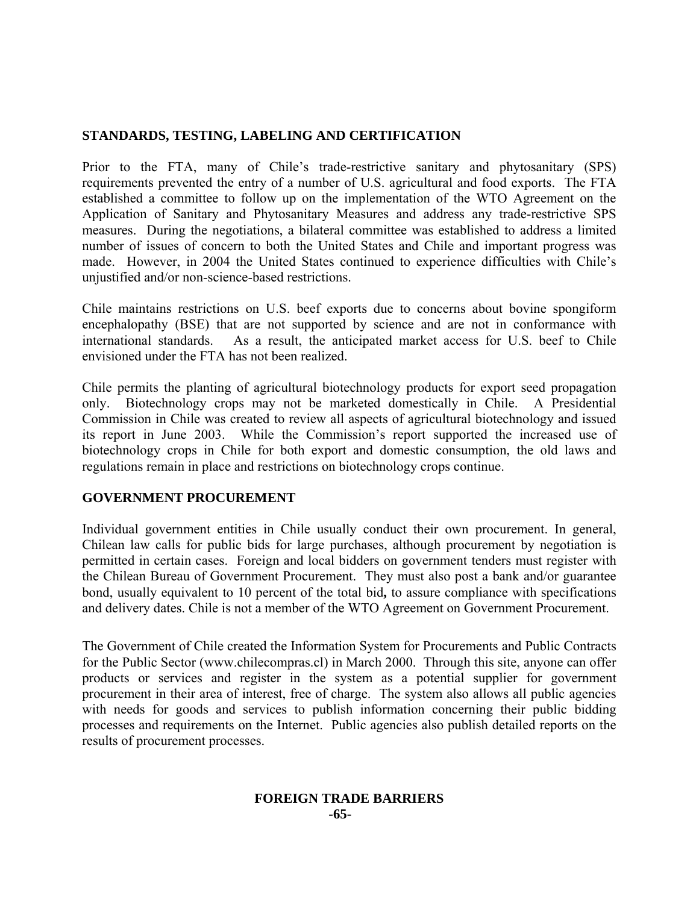# **STANDARDS, TESTING, LABELING AND CERTIFICATION**

Prior to the FTA, many of Chile's trade-restrictive sanitary and phytosanitary (SPS) requirements prevented the entry of a number of U.S. agricultural and food exports. The FTA established a committee to follow up on the implementation of the WTO Agreement on the Application of Sanitary and Phytosanitary Measures and address any trade-restrictive SPS measures. During the negotiations, a bilateral committee was established to address a limited number of issues of concern to both the United States and Chile and important progress was made. However, in 2004 the United States continued to experience difficulties with Chile's unjustified and/or non-science-based restrictions.

Chile maintains restrictions on U.S. beef exports due to concerns about bovine spongiform encephalopathy (BSE) that are not supported by science and are not in conformance with international standards. As a result, the anticipated market access for U.S. beef to Chile envisioned under the FTA has not been realized.

Chile permits the planting of agricultural biotechnology products for export seed propagation only. Biotechnology crops may not be marketed domestically in Chile. A Presidential Commission in Chile was created to review all aspects of agricultural biotechnology and issued its report in June 2003. While the Commission's report supported the increased use of biotechnology crops in Chile for both export and domestic consumption, the old laws and regulations remain in place and restrictions on biotechnology crops continue.

# **GOVERNMENT PROCUREMENT**

Individual government entities in Chile usually conduct their own procurement. In general, Chilean law calls for public bids for large purchases, although procurement by negotiation is permitted in certain cases. Foreign and local bidders on government tenders must register with the Chilean Bureau of Government Procurement. They must also post a bank and/or guarantee bond, usually equivalent to 10 percent of the total bid**,** to assure compliance with specifications and delivery dates. Chile is not a member of the WTO Agreement on Government Procurement.

The Government of Chile created the Information System for Procurements and Public Contracts for the Public Sector (www.chilecompras.cl) in March 2000. Through this site, anyone can offer products or services and register in the system as a potential supplier for government procurement in their area of interest, free of charge. The system also allows all public agencies with needs for goods and services to publish information concerning their public bidding processes and requirements on the Internet. Public agencies also publish detailed reports on the results of procurement processes.

# **FOREIGN TRADE BARRIERS -65-**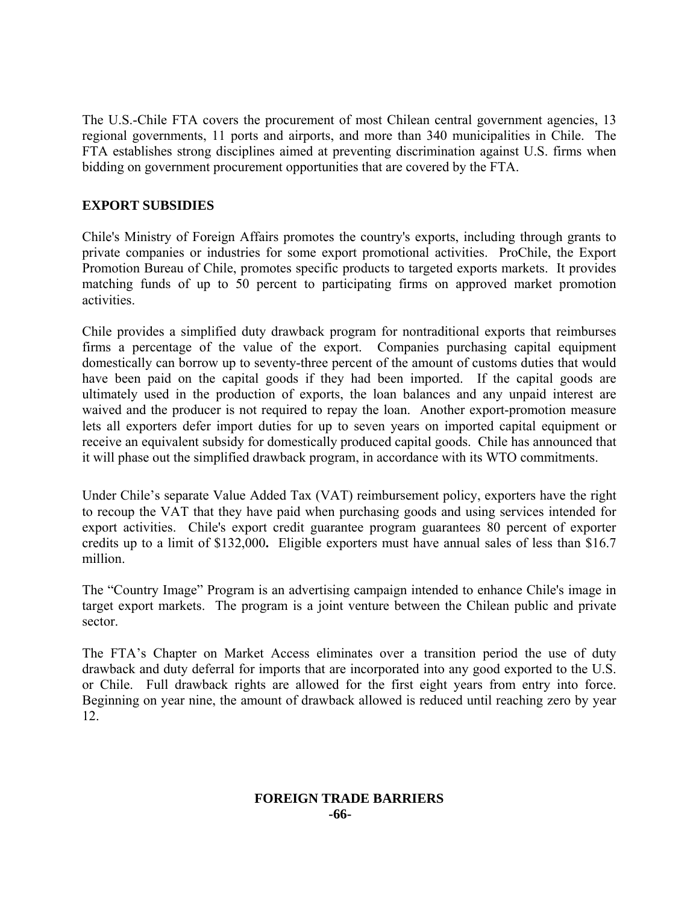The U.S.-Chile FTA covers the procurement of most Chilean central government agencies, 13 regional governments, 11 ports and airports, and more than 340 municipalities in Chile. The FTA establishes strong disciplines aimed at preventing discrimination against U.S. firms when bidding on government procurement opportunities that are covered by the FTA.

# **EXPORT SUBSIDIES**

Chile's Ministry of Foreign Affairs promotes the country's exports, including through grants to private companies or industries for some export promotional activities. ProChile, the Export Promotion Bureau of Chile, promotes specific products to targeted exports markets. It provides matching funds of up to 50 percent to participating firms on approved market promotion activities.

Chile provides a simplified duty drawback program for nontraditional exports that reimburses firms a percentage of the value of the export. Companies purchasing capital equipment domestically can borrow up to seventy-three percent of the amount of customs duties that would have been paid on the capital goods if they had been imported. If the capital goods are ultimately used in the production of exports, the loan balances and any unpaid interest are waived and the producer is not required to repay the loan. Another export-promotion measure lets all exporters defer import duties for up to seven years on imported capital equipment or receive an equivalent subsidy for domestically produced capital goods. Chile has announced that it will phase out the simplified drawback program, in accordance with its WTO commitments.

Under Chile's separate Value Added Tax (VAT) reimbursement policy, exporters have the right to recoup the VAT that they have paid when purchasing goods and using services intended for export activities. Chile's export credit guarantee program guarantees 80 percent of exporter credits up to a limit of \$132,000**.** Eligible exporters must have annual sales of less than \$16.7 million.

The "Country Image" Program is an advertising campaign intended to enhance Chile's image in target export markets. The program is a joint venture between the Chilean public and private sector.

The FTA's Chapter on Market Access eliminates over a transition period the use of duty drawback and duty deferral for imports that are incorporated into any good exported to the U.S. or Chile. Full drawback rights are allowed for the first eight years from entry into force. Beginning on year nine, the amount of drawback allowed is reduced until reaching zero by year 12.

# **FOREIGN TRADE BARRIERS -66-**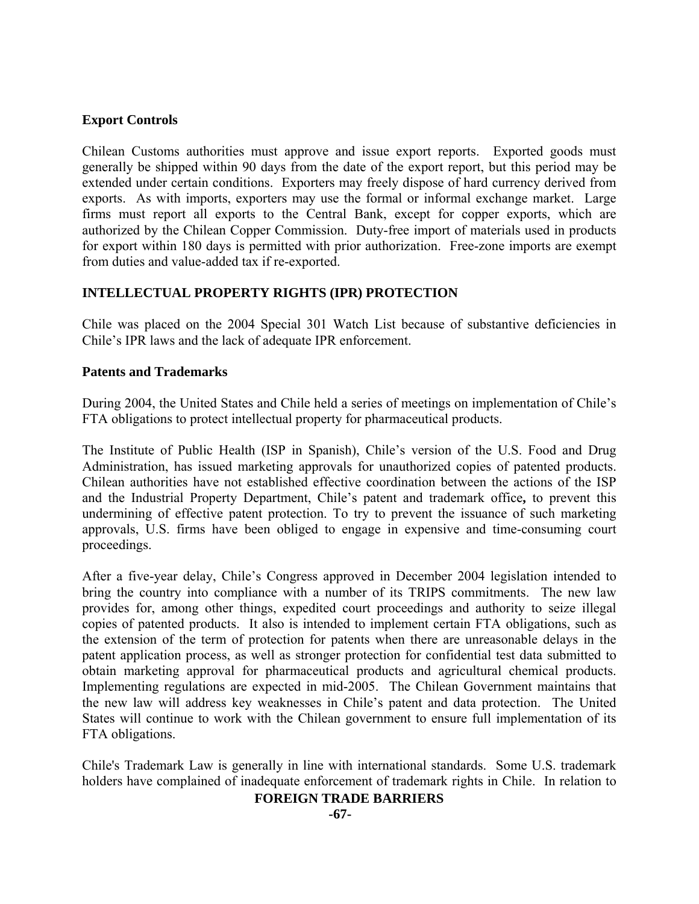# **Export Controls**

Chilean Customs authorities must approve and issue export reports. Exported goods must generally be shipped within 90 days from the date of the export report, but this period may be extended under certain conditions. Exporters may freely dispose of hard currency derived from exports. As with imports, exporters may use the formal or informal exchange market. Large firms must report all exports to the Central Bank, except for copper exports, which are authorized by the Chilean Copper Commission. Duty-free import of materials used in products for export within 180 days is permitted with prior authorization. Free-zone imports are exempt from duties and value-added tax if re-exported.

# **INTELLECTUAL PROPERTY RIGHTS (IPR) PROTECTION**

Chile was placed on the 2004 Special 301 Watch List because of substantive deficiencies in Chile's IPR laws and the lack of adequate IPR enforcement.

#### **Patents and Trademarks**

During 2004, the United States and Chile held a series of meetings on implementation of Chile's FTA obligations to protect intellectual property for pharmaceutical products.

The Institute of Public Health (ISP in Spanish), Chile's version of the U.S. Food and Drug Administration, has issued marketing approvals for unauthorized copies of patented products. Chilean authorities have not established effective coordination between the actions of the ISP and the Industrial Property Department, Chile's patent and trademark office**,** to prevent this undermining of effective patent protection. To try to prevent the issuance of such marketing approvals, U.S. firms have been obliged to engage in expensive and time-consuming court proceedings.

After a five-year delay, Chile's Congress approved in December 2004 legislation intended to bring the country into compliance with a number of its TRIPS commitments. The new law provides for, among other things, expedited court proceedings and authority to seize illegal copies of patented products. It also is intended to implement certain FTA obligations, such as the extension of the term of protection for patents when there are unreasonable delays in the patent application process, as well as stronger protection for confidential test data submitted to obtain marketing approval for pharmaceutical products and agricultural chemical products. Implementing regulations are expected in mid-2005. The Chilean Government maintains that the new law will address key weaknesses in Chile's patent and data protection. The United States will continue to work with the Chilean government to ensure full implementation of its FTA obligations.

Chile's Trademark Law is generally in line with international standards. Some U.S. trademark holders have complained of inadequate enforcement of trademark rights in Chile. In relation to

# **FOREIGN TRADE BARRIERS**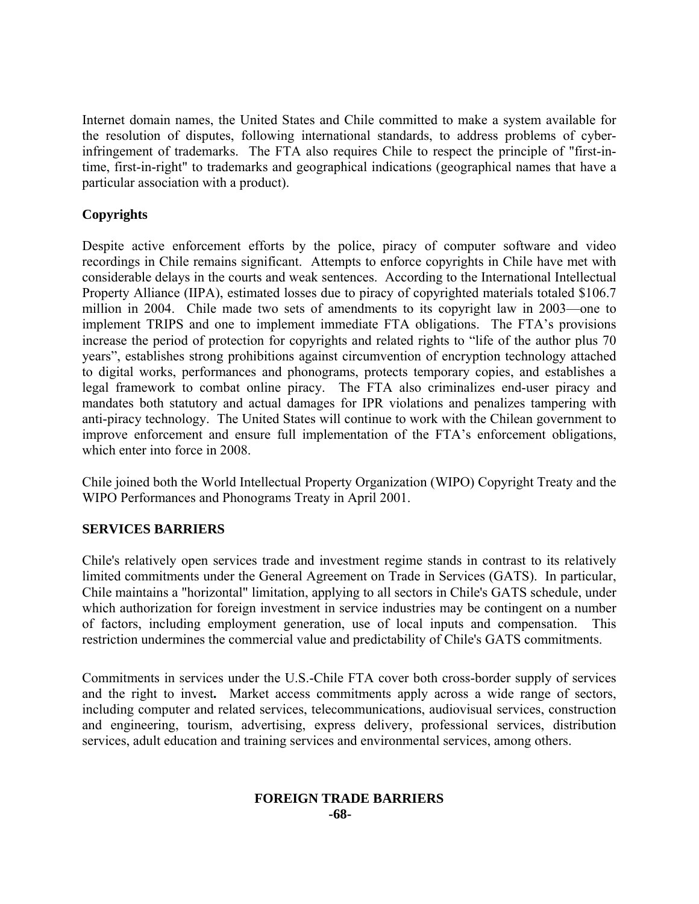Internet domain names, the United States and Chile committed to make a system available for the resolution of disputes, following international standards, to address problems of cyberinfringement of trademarks. The FTA also requires Chile to respect the principle of "first-intime, first-in-right" to trademarks and geographical indications (geographical names that have a particular association with a product).

# **Copyrights**

Despite active enforcement efforts by the police, piracy of computer software and video recordings in Chile remains significant. Attempts to enforce copyrights in Chile have met with considerable delays in the courts and weak sentences. According to the International Intellectual Property Alliance (IIPA), estimated losses due to piracy of copyrighted materials totaled \$106.7 million in 2004. Chile made two sets of amendments to its copyright law in 2003—one to implement TRIPS and one to implement immediate FTA obligations. The FTA's provisions increase the period of protection for copyrights and related rights to "life of the author plus 70 years", establishes strong prohibitions against circumvention of encryption technology attached to digital works, performances and phonograms, protects temporary copies, and establishes a legal framework to combat online piracy. The FTA also criminalizes end-user piracy and mandates both statutory and actual damages for IPR violations and penalizes tampering with anti-piracy technology. The United States will continue to work with the Chilean government to improve enforcement and ensure full implementation of the FTA's enforcement obligations, which enter into force in 2008.

Chile joined both the World Intellectual Property Organization (WIPO) Copyright Treaty and the WIPO Performances and Phonograms Treaty in April 2001.

# **SERVICES BARRIERS**

Chile's relatively open services trade and investment regime stands in contrast to its relatively limited commitments under the General Agreement on Trade in Services (GATS). In particular, Chile maintains a "horizontal" limitation, applying to all sectors in Chile's GATS schedule, under which authorization for foreign investment in service industries may be contingent on a number of factors, including employment generation, use of local inputs and compensation. This restriction undermines the commercial value and predictability of Chile's GATS commitments.

Commitments in services under the U.S.-Chile FTA cover both cross-border supply of services and the right to invest**.** Market access commitments apply across a wide range of sectors, including computer and related services, telecommunications, audiovisual services, construction and engineering, tourism, advertising, express delivery, professional services, distribution services, adult education and training services and environmental services, among others.

## **FOREIGN TRADE BARRIERS -68-**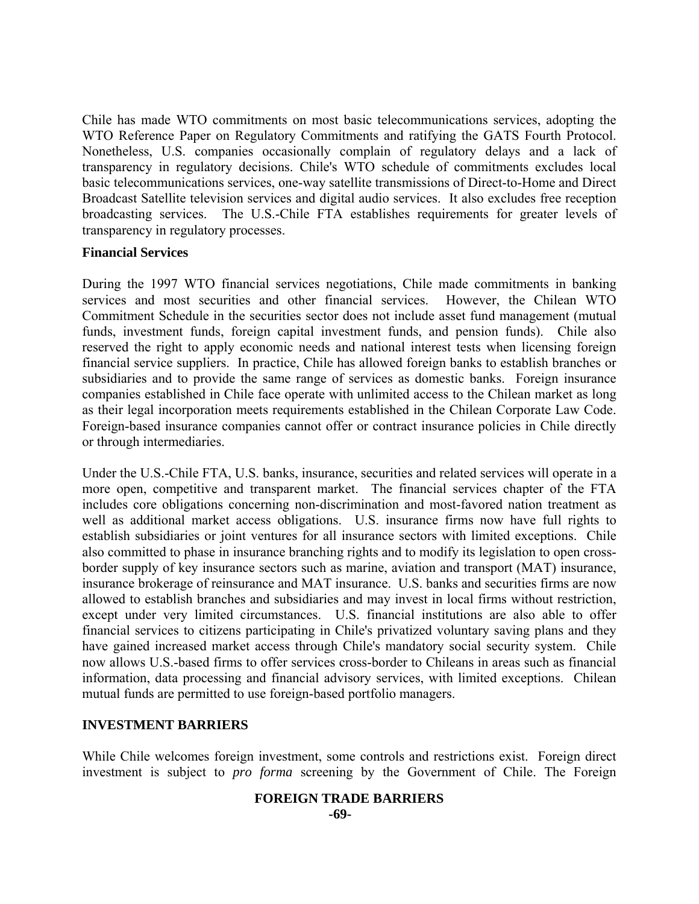Chile has made WTO commitments on most basic telecommunications services, adopting the WTO Reference Paper on Regulatory Commitments and ratifying the GATS Fourth Protocol. Nonetheless, U.S. companies occasionally complain of regulatory delays and a lack of transparency in regulatory decisions. Chile's WTO schedule of commitments excludes local basic telecommunications services, one-way satellite transmissions of Direct-to-Home and Direct Broadcast Satellite television services and digital audio services. It also excludes free reception broadcasting services. The U.S.-Chile FTA establishes requirements for greater levels of transparency in regulatory processes.

#### **Financial Services**

During the 1997 WTO financial services negotiations, Chile made commitments in banking services and most securities and other financial services. However, the Chilean WTO Commitment Schedule in the securities sector does not include asset fund management (mutual funds, investment funds, foreign capital investment funds, and pension funds). Chile also reserved the right to apply economic needs and national interest tests when licensing foreign financial service suppliers. In practice, Chile has allowed foreign banks to establish branches or subsidiaries and to provide the same range of services as domestic banks. Foreign insurance companies established in Chile face operate with unlimited access to the Chilean market as long as their legal incorporation meets requirements established in the Chilean Corporate Law Code. Foreign-based insurance companies cannot offer or contract insurance policies in Chile directly or through intermediaries.

Under the U.S.-Chile FTA, U.S. banks, insurance, securities and related services will operate in a more open, competitive and transparent market. The financial services chapter of the FTA includes core obligations concerning non-discrimination and most-favored nation treatment as well as additional market access obligations. U.S. insurance firms now have full rights to establish subsidiaries or joint ventures for all insurance sectors with limited exceptions. Chile also committed to phase in insurance branching rights and to modify its legislation to open crossborder supply of key insurance sectors such as marine, aviation and transport (MAT) insurance, insurance brokerage of reinsurance and MAT insurance. U.S. banks and securities firms are now allowed to establish branches and subsidiaries and may invest in local firms without restriction, except under very limited circumstances. U.S. financial institutions are also able to offer financial services to citizens participating in Chile's privatized voluntary saving plans and they have gained increased market access through Chile's mandatory social security system. Chile now allows U.S.-based firms to offer services cross-border to Chileans in areas such as financial information, data processing and financial advisory services, with limited exceptions. Chilean mutual funds are permitted to use foreign-based portfolio managers.

# **INVESTMENT BARRIERS**

While Chile welcomes foreign investment, some controls and restrictions exist. Foreign direct investment is subject to *pro forma* screening by the Government of Chile. The Foreign

#### **FOREIGN TRADE BARRIERS -69-**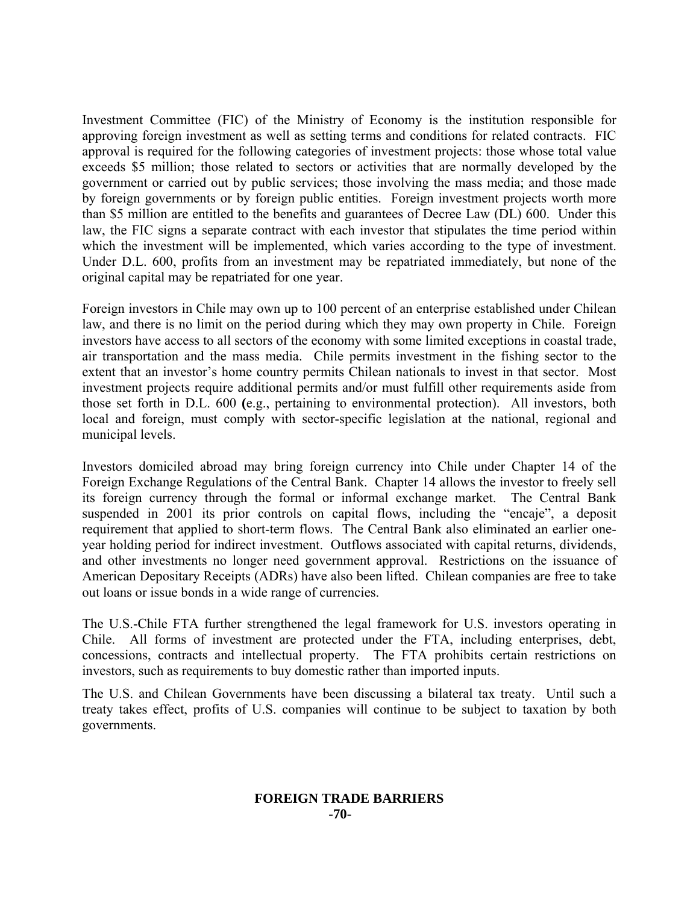Investment Committee (FIC) of the Ministry of Economy is the institution responsible for approving foreign investment as well as setting terms and conditions for related contracts. FIC approval is required for the following categories of investment projects: those whose total value exceeds \$5 million; those related to sectors or activities that are normally developed by the government or carried out by public services; those involving the mass media; and those made by foreign governments or by foreign public entities. Foreign investment projects worth more than \$5 million are entitled to the benefits and guarantees of Decree Law (DL) 600. Under this law, the FIC signs a separate contract with each investor that stipulates the time period within which the investment will be implemented, which varies according to the type of investment. Under D.L. 600, profits from an investment may be repatriated immediately, but none of the original capital may be repatriated for one year.

Foreign investors in Chile may own up to 100 percent of an enterprise established under Chilean law, and there is no limit on the period during which they may own property in Chile. Foreign investors have access to all sectors of the economy with some limited exceptions in coastal trade, air transportation and the mass media. Chile permits investment in the fishing sector to the extent that an investor's home country permits Chilean nationals to invest in that sector. Most investment projects require additional permits and/or must fulfill other requirements aside from those set forth in D.L. 600 **(**e.g., pertaining to environmental protection). All investors, both local and foreign, must comply with sector-specific legislation at the national, regional and municipal levels.

Investors domiciled abroad may bring foreign currency into Chile under Chapter 14 of the Foreign Exchange Regulations of the Central Bank. Chapter 14 allows the investor to freely sell its foreign currency through the formal or informal exchange market. The Central Bank suspended in 2001 its prior controls on capital flows, including the "encaje", a deposit requirement that applied to short-term flows. The Central Bank also eliminated an earlier oneyear holding period for indirect investment. Outflows associated with capital returns, dividends, and other investments no longer need government approval. Restrictions on the issuance of American Depositary Receipts (ADRs) have also been lifted. Chilean companies are free to take out loans or issue bonds in a wide range of currencies.

The U.S.-Chile FTA further strengthened the legal framework for U.S. investors operating in Chile. All forms of investment are protected under the FTA, including enterprises, debt, concessions, contracts and intellectual property. The FTA prohibits certain restrictions on investors, such as requirements to buy domestic rather than imported inputs.

The U.S. and Chilean Governments have been discussing a bilateral tax treaty. Until such a treaty takes effect, profits of U.S. companies will continue to be subject to taxation by both governments.

#### **FOREIGN TRADE BARRIERS -70-**